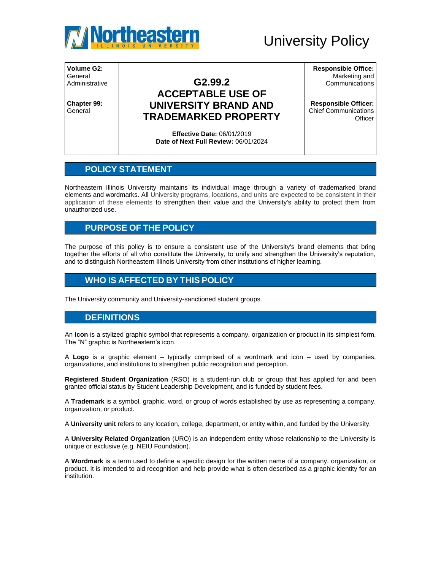

# University Policy

**Volume G2:**  General

**Chapter 99: General** 

## Administrative **G2.99.2 ACCEPTABLE USE OF UNIVERSITY BRAND AND TRADEMARKED PROPERTY**

**Responsible Office:** Marketing and **Communications** 

**Responsible Officer:** Chief Communications **Officer** 

**Effective Date:** 06/01/2019 **Date of Next Full Review:** 06/01/2024

#### **POLICY STATEMENT**

Northeastern Illinois University maintains its individual image through a variety of trademarked brand elements and wordmarks. All University programs, locations, and units are expected to be consistent in their application of these elements to strengthen their value and the University's ability to protect them from unauthorized use.

#### **PURPOSE OF THE POLICY**

The purpose of this policy is to ensure a consistent use of the University's brand elements that bring together the efforts of all who constitute the University, to unify and strengthen the University's reputation, and to distinguish Northeastern Illinois University from other institutions of higher learning.

#### **WHO IS AFFECTED BY THIS POLICY**

The University community and University-sanctioned student groups.

#### **DEFINITIONS**

An **Icon** is a stylized graphic symbol that represents a company, organization or product in its simplest form. The "N" graphic is Northeastern's icon.

A **Logo** is a graphic element – typically comprised of a wordmark and icon – used by companies, organizations, and institutions to strengthen public recognition and perception.

**Registered Student Organization** (RSO) is a student-run club or group that has applied for and been granted official status by Student Leadership Development, and is funded by student fees.

A **Trademark** is a symbol, graphic, word, or group of words established by use as representing a company, organization, or product.

A **University unit** refers to any location, college, department, or entity within, and funded by the University.

A **University Related Organization** (URO) is an independent entity whose relationship to the University is unique or exclusive (e.g. NEIU Foundation).

A **Wordmark** is a term used to define a specific design for the written name of a company, organization, or product. It is intended to aid recognition and help provide what is often described as a graphic identity for an institution.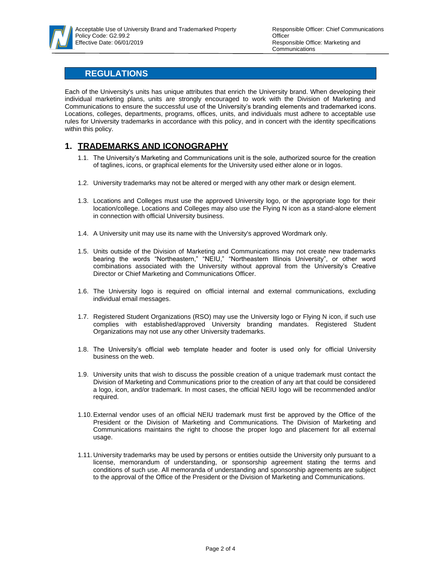

### **REGULATIONS**

Each of the University's units has unique attributes that enrich the University brand. When developing their individual marketing plans, units are strongly encouraged to work with the Division of Marketing and Communications to ensure the successful use of the University's branding elements and trademarked icons. Locations, colleges, departments, programs, offices, units, and individuals must adhere to acceptable use rules for University trademarks in accordance with this policy, and in concert with the identity specifications within this policy.

#### **1. TRADEMARKS AND ICONOGRAPHY**

- 1.1. The University's Marketing and Communications unit is the sole, authorized source for the creation of taglines, icons, or graphical elements for the University used either alone or in logos.
- 1.2. University trademarks may not be altered or merged with any other mark or design element.
- 1.3. Locations and Colleges must use the approved University logo, or the appropriate logo for their location/college. Locations and Colleges may also use the Flying N icon as a stand-alone element in connection with official University business.
- 1.4. A University unit may use its name with the University's approved Wordmark only.
- 1.5. Units outside of the Division of Marketing and Communications may not create new trademarks bearing the words "Northeastern," "NEIU," "Northeastern Illinois University", or other word combinations associated with the University without approval from the University's Creative Director or Chief Marketing and Communications Officer.
- 1.6. The University logo is required on official internal and external communications, excluding individual email messages.
- 1.7. Registered Student Organizations (RSO) may use the University logo or Flying N icon, if such use complies with established/approved University branding mandates. Registered Student Organizations may not use any other University trademarks.
- 1.8. The University's official web template header and footer is used only for official University business on the web.
- 1.9. University units that wish to discuss the possible creation of a unique trademark must contact the Division of Marketing and Communications prior to the creation of any art that could be considered a logo, icon, and/or trademark. In most cases, the official NEIU logo will be recommended and/or required.
- 1.10.External vendor uses of an official NEIU trademark must first be approved by the Office of the President or the Division of Marketing and Communications. The Division of Marketing and Communications maintains the right to choose the proper logo and placement for all external usage.
- 1.11. University trademarks may be used by persons or entities outside the University only pursuant to a license, memorandum of understanding, or sponsorship agreement stating the terms and conditions of such use. All memoranda of understanding and sponsorship agreements are subject to the approval of the Office of the President or the Division of Marketing and Communications.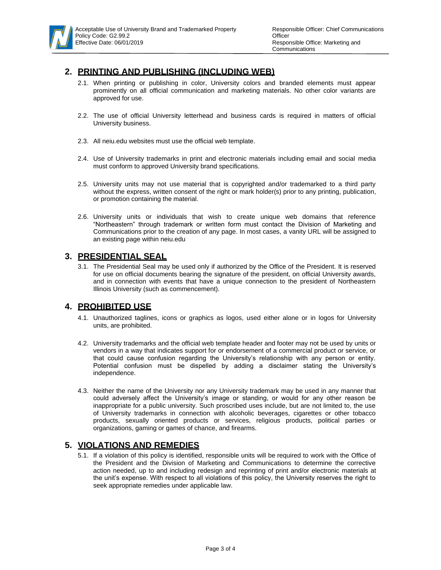

### **2. PRINTING AND PUBLISHING (INCLUDING WEB)**

- 2.1. When printing or publishing in color, University colors and branded elements must appear prominently on all official communication and marketing materials. No other color variants are approved for use.
- 2.2. The use of official University letterhead and business cards is required in matters of official University business.
- 2.3. All neiu.edu websites must use the official web template.
- 2.4. Use of University trademarks in print and electronic materials including email and social media must conform to approved University brand specifications.
- 2.5. University units may not use material that is copyrighted and/or trademarked to a third party without the express, written consent of the right or mark holder(s) prior to any printing, publication, or promotion containing the material.
- 2.6. University units or individuals that wish to create unique web domains that reference "Northeastern" through trademark or written form must contact the Division of Marketing and Communications prior to the creation of any page. In most cases, a vanity URL will be assigned to an existing page within neiu.edu

#### **3. PRESIDENTIAL SEAL**

3.1. The Presidential Seal may be used only if authorized by the Office of the President. It is reserved for use on official documents bearing the signature of the president, on official University awards, and in connection with events that have a unique connection to the president of Northeastern Illinois University (such as commencement).

#### **4. PROHIBITED USE**

- 4.1. Unauthorized taglines, icons or graphics as logos, used either alone or in logos for University units, are prohibited.
- 4.2. University trademarks and the official web template header and footer may not be used by units or vendors in a way that indicates support for or endorsement of a commercial product or service, or that could cause confusion regarding the University's relationship with any person or entity. Potential confusion must be dispelled by adding a disclaimer stating the University's independence.
- 4.3. Neither the name of the University nor any University trademark may be used in any manner that could adversely affect the University's image or standing, or would for any other reason be inappropriate for a public university. Such proscribed uses include, but are not limited to, the use of University trademarks in connection with alcoholic beverages, cigarettes or other tobacco products, sexually oriented products or services, religious products, political parties or organizations, gaming or games of chance, and firearms.

#### **5. VIOLATIONS AND REMEDIES**

5.1. If a violation of this policy is identified, responsible units will be required to work with the Office of the President and the Division of Marketing and Communications to determine the corrective action needed, up to and including redesign and reprinting of print and/or electronic materials at the unit's expense. With respect to all violations of this policy, the University reserves the right to seek appropriate remedies under applicable law.